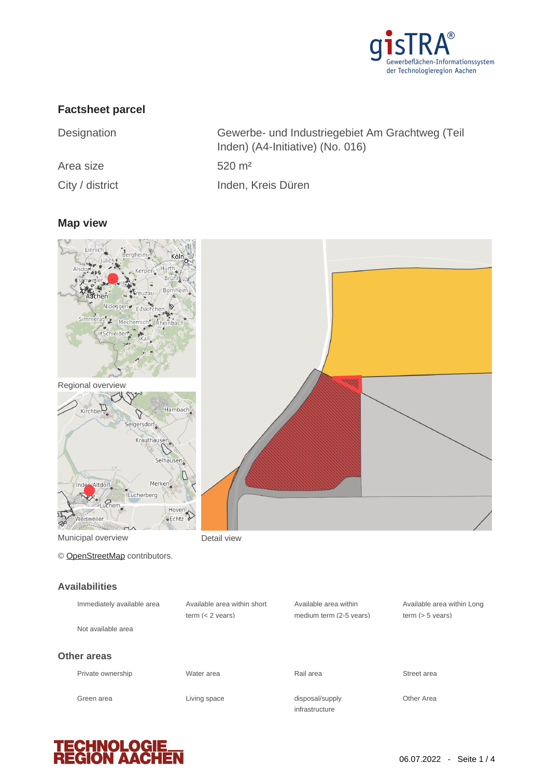

# **Factsheet parcel**

| Designation     | Gewerbe- und Industriegebiet Am Grachtweg (Teil<br>Inden) (A4-Initiative) (No. 016) |
|-----------------|-------------------------------------------------------------------------------------|
| Area size       | $520 \; \text{m}^2$                                                                 |
| City / district | Inden, Kreis Düren                                                                  |

#### **Map view**



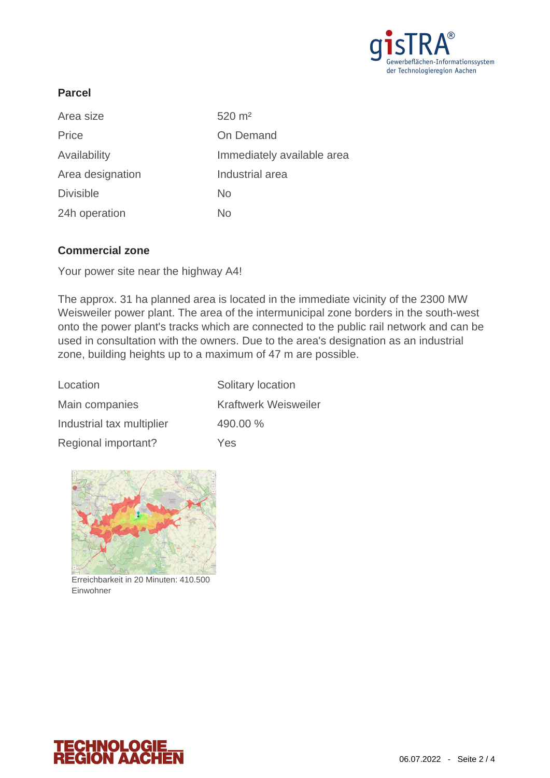

# **Parcel**

| Area size        | $520 \; \text{m}^2$        |
|------------------|----------------------------|
| Price            | On Demand                  |
| Availability     | Immediately available area |
| Area designation | Industrial area            |
| <b>Divisible</b> | <b>No</b>                  |
| 24h operation    | No                         |

## **Commercial zone**

Your power site near the highway A4!

The approx. 31 ha planned area is located in the immediate vicinity of the 2300 MW Weisweiler power plant. The area of the intermunicipal zone borders in the south-west onto the power plant's tracks which are connected to the public rail network and can be used in consultation with the owners. Due to the area's designation as an industrial zone, building heights up to a maximum of 47 m are possible.

| Location                  | Solitary location           |
|---------------------------|-----------------------------|
| Main companies            | <b>Kraftwerk Weisweiler</b> |
| Industrial tax multiplier | 490.00 %                    |
| Regional important?       | <b>Yes</b>                  |



Erreichbarkeit in 20 Minuten: 410.500 Einwohner

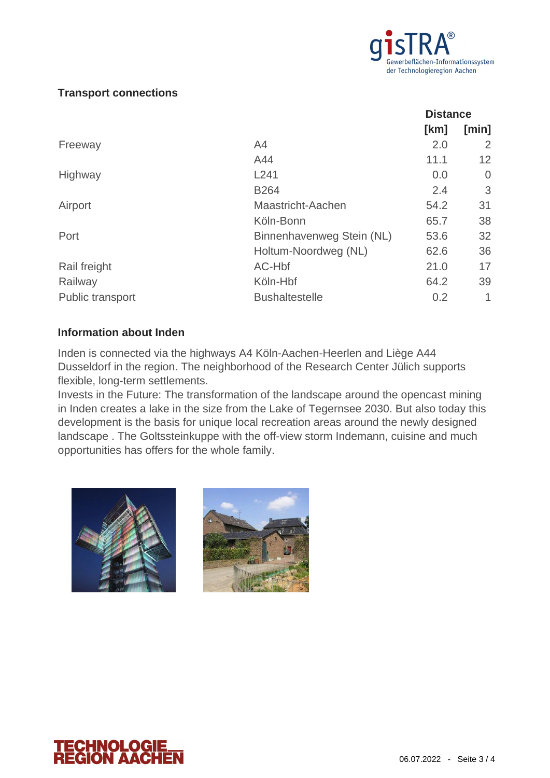

# **Transport connections**

|                  |                           | <b>Distance</b> |                |
|------------------|---------------------------|-----------------|----------------|
|                  |                           | [km]            | [min]          |
| Freeway          | A <sub>4</sub>            | 2.0             | 2              |
|                  | A44                       | 11.1            | 12             |
| Highway          | L241                      | 0.0             | $\overline{0}$ |
|                  | <b>B264</b>               | 2.4             | 3              |
| Airport          | Maastricht-Aachen         | 54.2            | 31             |
|                  | Köln-Bonn                 | 65.7            | 38             |
| Port             | Binnenhavenweg Stein (NL) | 53.6            | 32             |
|                  | Holtum-Noordweg (NL)      | 62.6            | 36             |
| Rail freight     | AC-Hbf                    | 21.0            | 17             |
| Railway          | Köln-Hbf                  | 64.2            | 39             |
| Public transport | <b>Bushaltestelle</b>     | 0.2             | 1              |

#### **Information about Inden**

Inden is connected via the highways A4 Köln-Aachen-Heerlen and Liège A44 Dusseldorf in the region. The neighborhood of the Research Center Jülich supports flexible, long-term settlements.

Invests in the Future: The transformation of the landscape around the opencast mining in Inden creates a lake in the size from the Lake of Tegernsee 2030. But also today this development is the basis for unique local recreation areas around the newly designed landscape . The Goltssteinkuppe with the off-view storm Indemann, cuisine and much opportunities has offers for the whole family.